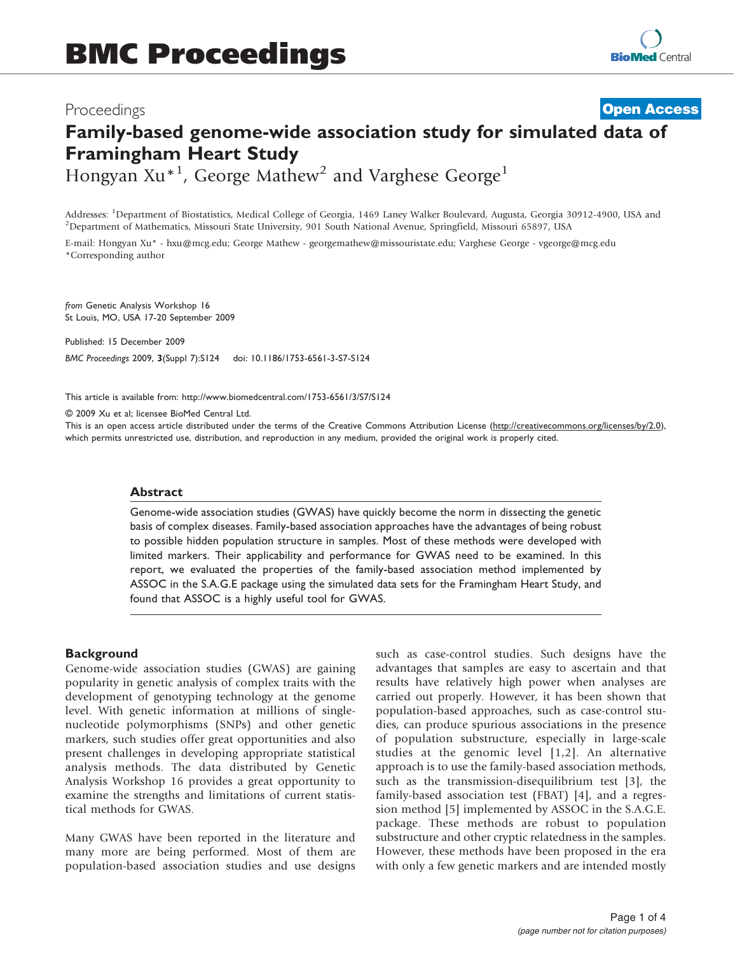# Proceedings Family-based genome-wide association study for simulated data of Framingham Heart Study **[Open Access](http://www.biomedcentral.com/info/about/charter/)**

Hongyan Xu<sup>\*1</sup>, George Mathew<sup>2</sup> and Varghese George<sup>1</sup>

Addresses: <sup>1</sup>Department of Biostatistics, Medical College of Georgia, 1469 Laney Walker Boulevard, Augusta, Georgia 30912-4900, USA and<br><sup>2</sup>Department of Mathematics, Missouri State University, 901 South National Ayenye, S <sup>2</sup>Department of Mathematics, Missouri State University, 901 South National Avenue, Springfield, Missouri 65897, USA

E-mail: Hongyan Xu\* - [hxu@mcg.edu;](mailto:hxu@mcg.edu) George Mathew - [georgemathew@missouristate.edu;](mailto:georgemathew@missouristate.edu) Varghese George - [vgeorge@mcg.edu](mailto:vgeorge@mcg.edu) \*Corresponding author

from Genetic Analysis Workshop 16 St Louis, MO, USA 17-20 September 2009

Published: 15 December 2009 BMC Proceedings 2009, 3(Suppl 7):S124 doi: 10.1186/1753-6561-3-S7-S124

This article is available from: http://www.biomedcentral.com/1753-6561/3/S7/S124

© 2009 Xu et al; licensee BioMed Central Ltd.

This is an open access article distributed under the terms of the Creative Commons Attribution License [\(http://creativecommons.org/licenses/by/2.0\)](http://creativecommons.org/licenses/by/2.0), which permits unrestricted use, distribution, and reproduction in any medium, provided the original work is properly cited.

#### Abstract

Genome-wide association studies (GWAS) have quickly become the norm in dissecting the genetic basis of complex diseases. Family-based association approaches have the advantages of being robust to possible hidden population structure in samples. Most of these methods were developed with limited markers. Their applicability and performance for GWAS need to be examined. In this report, we evaluated the properties of the family-based association method implemented by ASSOC in the S.A.G.E package using the simulated data sets for the Framingham Heart Study, and found that ASSOC is a highly useful tool for GWAS.

### **Background**

Genome-wide association studies (GWAS) are gaining popularity in genetic analysis of complex traits with the development of genotyping technology at the genome level. With genetic information at millions of singlenucleotide polymorphisms (SNPs) and other genetic markers, such studies offer great opportunities and also present challenges in developing appropriate statistical analysis methods. The data distributed by Genetic Analysis Workshop 16 provides a great opportunity to examine the strengths and limitations of current statistical methods for GWAS.

Many GWAS have been reported in the literature and many more are being performed. Most of them are population-based association studies and use designs such as case-control studies. Such designs have the advantages that samples are easy to ascertain and that results have relatively high power when analyses are carried out properly. However, it has been shown that population-based approaches, such as case-control studies, can produce spurious associations in the presence of population substructure, especially in large-scale studies at the genomic level [[1](#page-3-0),[2\]](#page-3-0). An alternative approach is to use the family-based association methods, such as the transmission-disequilibrium test [\[3\]](#page-3-0), the family-based association test (FBAT) [\[4\]](#page-3-0), and a regression method [[5](#page-3-0)] implemented by ASSOC in the S.A.G.E. package. These methods are robust to population substructure and other cryptic relatedness in the samples. However, these methods have been proposed in the era with only a few genetic markers and are intended mostly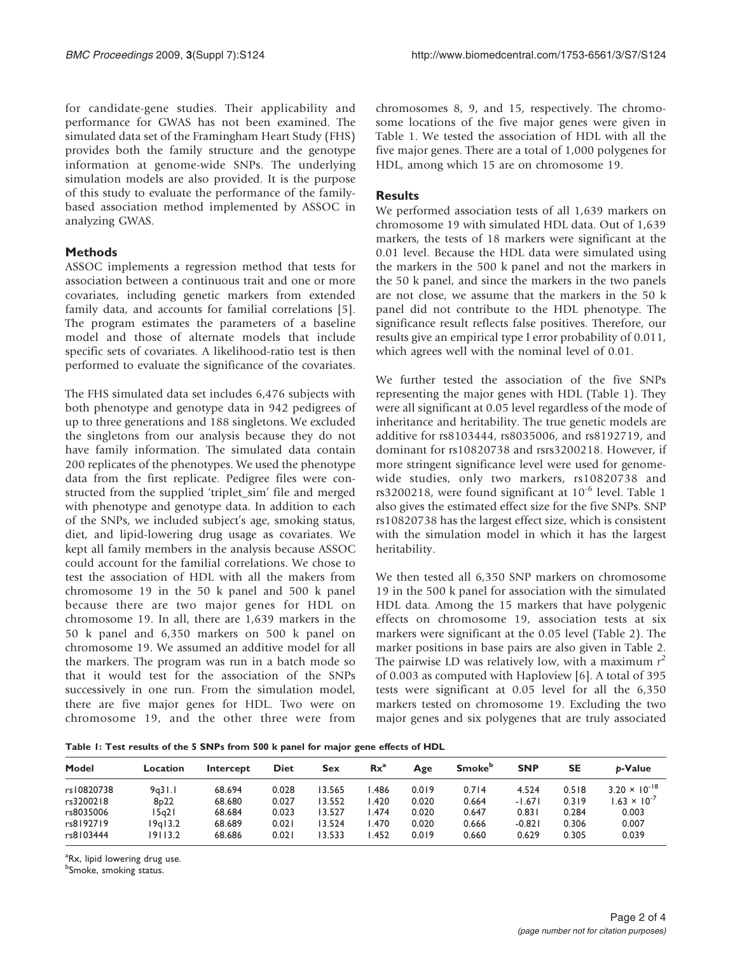for candidate-gene studies. Their applicability and performance for GWAS has not been examined. The simulated data set of the Framingham Heart Study (FHS) provides both the family structure and the genotype information at genome-wide SNPs. The underlying simulation models are also provided. It is the purpose of this study to evaluate the performance of the familybased association method implemented by ASSOC in analyzing GWAS.

# Methods

ASSOC implements a regression method that tests for association between a continuous trait and one or more covariates, including genetic markers from extended family data, and accounts for familial correlations [[5](#page-3-0)]. The program estimates the parameters of a baseline model and those of alternate models that include specific sets of covariates. A likelihood-ratio test is then performed to evaluate the significance of the covariates.

The FHS simulated data set includes 6,476 subjects with both phenotype and genotype data in 942 pedigrees of up to three generations and 188 singletons. We excluded the singletons from our analysis because they do not have family information. The simulated data contain 200 replicates of the phenotypes. We used the phenotype data from the first replicate. Pedigree files were constructed from the supplied 'triplet\_sim' file and merged with phenotype and genotype data. In addition to each of the SNPs, we included subject's age, smoking status, diet, and lipid-lowering drug usage as covariates. We kept all family members in the analysis because ASSOC could account for the familial correlations. We chose to test the association of HDL with all the makers from chromosome 19 in the 50 k panel and 500 k panel because there are two major genes for HDL on chromosome 19. In all, there are 1,639 markers in the 50 k panel and 6,350 markers on 500 k panel on chromosome 19. We assumed an additive model for all the markers. The program was run in a batch mode so that it would test for the association of the SNPs successively in one run. From the simulation model, there are five major genes for HDL. Two were on chromosome 19, and the other three were from

chromosomes 8, 9, and 15, respectively. The chromosome locations of the five major genes were given in Table 1. We tested the association of HDL with all the five major genes. There are a total of 1,000 polygenes for HDL, among which 15 are on chromosome 19.

## **Results**

We performed association tests of all 1,639 markers on chromosome 19 with simulated HDL data. Out of 1,639 markers, the tests of 18 markers were significant at the 0.01 level. Because the HDL data were simulated using the markers in the 500 k panel and not the markers in the 50 k panel, and since the markers in the two panels are not close, we assume that the markers in the 50 k panel did not contribute to the HDL phenotype. The significance result reflects false positives. Therefore, our results give an empirical type I error probability of 0.011, which agrees well with the nominal level of 0.01.

We further tested the association of the five SNPs representing the major genes with HDL (Table 1). They were all significant at 0.05 level regardless of the mode of inheritance and heritability. The true genetic models are additive for rs8103444, rs8035006, and rs8192719, and dominant for rs10820738 and rsrs3200218. However, if more stringent significance level were used for genomewide studies, only two markers, rs10820738 and rs3200218, were found significant at  $10^{-6}$  level. Table 1 also gives the estimated effect size for the five SNPs. SNP rs10820738 has the largest effect size, which is consistent with the simulation model in which it has the largest heritability.

We then tested all 6,350 SNP markers on chromosome 19 in the 500 k panel for association with the simulated HDL data. Among the 15 markers that have polygenic effects on chromosome 19, association tests at six markers were significant at the 0.05 level ([Table 2\)](#page-2-0). The marker positions in base pairs are also given in [Table 2.](#page-2-0) The pairwise LD was relatively low, with a maximum  $r^2$ of 0.003 as computed with Haploview [[6](#page-3-0)]. A total of 395 tests were significant at 0.05 level for all the 6,350 markers tested on chromosome 19. Excluding the two major genes and six polygenes that are truly associated

Table 1: Test results of the 5 SNPs from 500 k panel for major gene effects of HDL

| Model      | Location          | Intercept | <b>Diet</b> | Sex    | $Rx^a$ | Age   | <b>Smoke</b> <sup>b</sup> | <b>SNP</b> | <b>SE</b> | b-Value                |
|------------|-------------------|-----------|-------------|--------|--------|-------|---------------------------|------------|-----------|------------------------|
| rs10820738 | 9a31.1            | 68.694    | 0.028       | 13.565 | .486   | 0.019 | 0.714                     | 4.524      | 0.518     | $3.20 \times 10^{-18}$ |
| rs3200218  | 8 <sub>p</sub> 22 | 68.680    | 0.027       | 13.552 | .420   | 0.020 | 0.664                     | $-1.671$   | 0.319     | $1.63 \times 10^{-7}$  |
| rs8035006  | 15a2 I            | 68.684    | 0.023       | 13.527 | .474   | 0.020 | 0.647                     | 0.831      | 0.284     | 0.003                  |
| rs8192719  | 9q13.2            | 68.689    | 0.021       | 13.524 | .470   | 0.020 | 0.666                     | $-0.821$   | 0.306     | 0.007                  |
| rs8103444  | 19113.2           | 68.686    | 0.021       | 13.533 | .452   | 0.019 | 0.660                     | 0.629      | 0.305     | 0.039                  |

<sup>a</sup>Rx, lipid lowering drug use.

**b**Smoke, smoking status.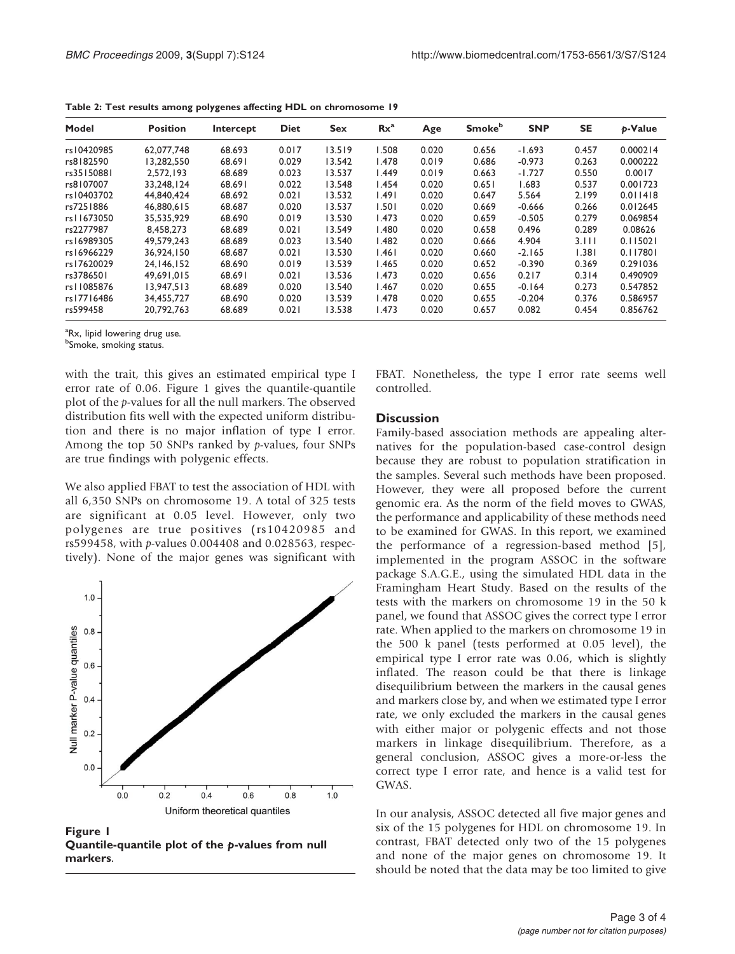| Model      | <b>Position</b> | Intercept | <b>Diet</b> | <b>Sex</b> | $Rx^a$ | Age   | <b>Smoke</b> <sup>b</sup> | <b>SNP</b> | <b>SE</b> | <b>p-Value</b> |
|------------|-----------------|-----------|-------------|------------|--------|-------|---------------------------|------------|-----------|----------------|
| rs10420985 | 62,077,748      | 68.693    | 0.017       | 13.519     | 1.508  | 0.020 | 0.656                     | $-1.693$   | 0.457     | 0.000214       |
| rs8182590  | 13.282.550      | 68.691    | 0.029       | 13.542     | 1.478  | 0.019 | 0.686                     | $-0.973$   | 0.263     | 0.000222       |
| rs35150881 | 2.572.193       | 68.689    | 0.023       | 13.537     | 1.449  | 0.019 | 0.663                     | $-1.727$   | 0.550     | 0.0017         |
| rs8107007  | 33.248.124      | 68.691    | 0.022       | 13.548     | 1.454  | 0.020 | 0.651                     | 1.683      | 0.537     | 0.001723       |
| rs10403702 | 44.840.424      | 68.692    | 0.021       | 13.532     | 1.491  | 0.020 | 0.647                     | 5.564      | 2.199     | 0.011418       |
| rs7251886  | 46,880,615      | 68.687    | 0.020       | 13.537     | 1.501  | 0.020 | 0.669                     | $-0.666$   | 0.266     | 0.012645       |
| rs11673050 | 35.535.929      | 68.690    | 0.019       | 13.530     | 1.473  | 0.020 | 0.659                     | $-0.505$   | 0.279     | 0.069854       |
| rs2277987  | 8.458.273       | 68.689    | 0.021       | 13.549     | 1.480  | 0.020 | 0.658                     | 0.496      | 0.289     | 0.08626        |
| rs16989305 | 49.579.243      | 68.689    | 0.023       | 13.540     | 1.482  | 0.020 | 0.666                     | 4.904      | 3.111     | 0.115021       |
| rs16966229 | 36,924,150      | 68.687    | 0.021       | 13.530     | 1.461  | 0.020 | 0.660                     | $-2.165$   | 1.381     | 0.117801       |
| rs17620029 | 24.146.152      | 68.690    | 0.019       | 13.539     | 1.465  | 0.020 | 0.652                     | $-0.390$   | 0.369     | 0.291036       |
| rs3786501  | 49.691.015      | 68.691    | 0.021       | 13.536     | 1.473  | 0.020 | 0.656                     | 0.217      | 0.314     | 0.490909       |
| rs11085876 | 13.947.513      | 68.689    | 0.020       | 13.540     | 1.467  | 0.020 | 0.655                     | $-0.164$   | 0.273     | 0.547852       |
| rs17716486 | 34.455.727      | 68.690    | 0.020       | 13.539     | 1.478  | 0.020 | 0.655                     | $-0.204$   | 0.376     | 0.586957       |
| rs599458   | 20,792,763      | 68.689    | 0.021       | 13.538     | 1.473  | 0.020 | 0.657                     | 0.082      | 0.454     | 0.856762       |

<span id="page-2-0"></span>Table 2: Test results among polygenes affecting HDL on chromosome 19

<sup>a</sup>Rx, lipid lowering drug use.

**b**Smoke, smoking status.

with the trait, this gives an estimated empirical type I error rate of 0.06. Figure 1 gives the quantile-quantile plot of the p-values for all the null markers. The observed distribution fits well with the expected uniform distribution and there is no major inflation of type I error. Among the top 50 SNPs ranked by p-values, four SNPs are true findings with polygenic effects.

We also applied FBAT to test the association of HDL with all 6,350 SNPs on chromosome 19. A total of 325 tests are significant at 0.05 level. However, only two polygenes are true positives (rs10420985 and rs599458, with p-values 0.004408 and 0.028563, respectively). None of the major genes was significant with



Figure 1 Quantile-quantile plot of the p-values from null markers.

FBAT. Nonetheless, the type I error rate seems well controlled.

#### **Discussion**

Family-based association methods are appealing alternatives for the population-based case-control design because they are robust to population stratification in the samples. Several such methods have been proposed. However, they were all proposed before the current genomic era. As the norm of the field moves to GWAS, the performance and applicability of these methods need to be examined for GWAS. In this report, we examined the performance of a regression-based method [[5](#page-3-0)], implemented in the program ASSOC in the software package S.A.G.E., using the simulated HDL data in the Framingham Heart Study. Based on the results of the tests with the markers on chromosome 19 in the 50 k panel, we found that ASSOC gives the correct type I error rate. When applied to the markers on chromosome 19 in the 500 k panel (tests performed at 0.05 level), the empirical type I error rate was 0.06, which is slightly inflated. The reason could be that there is linkage disequilibrium between the markers in the causal genes and markers close by, and when we estimated type I error rate, we only excluded the markers in the causal genes with either major or polygenic effects and not those markers in linkage disequilibrium. Therefore, as a general conclusion, ASSOC gives a more-or-less the correct type I error rate, and hence is a valid test for GWAS.

In our analysis, ASSOC detected all five major genes and six of the 15 polygenes for HDL on chromosome 19. In contrast, FBAT detected only two of the 15 polygenes and none of the major genes on chromosome 19. It should be noted that the data may be too limited to give